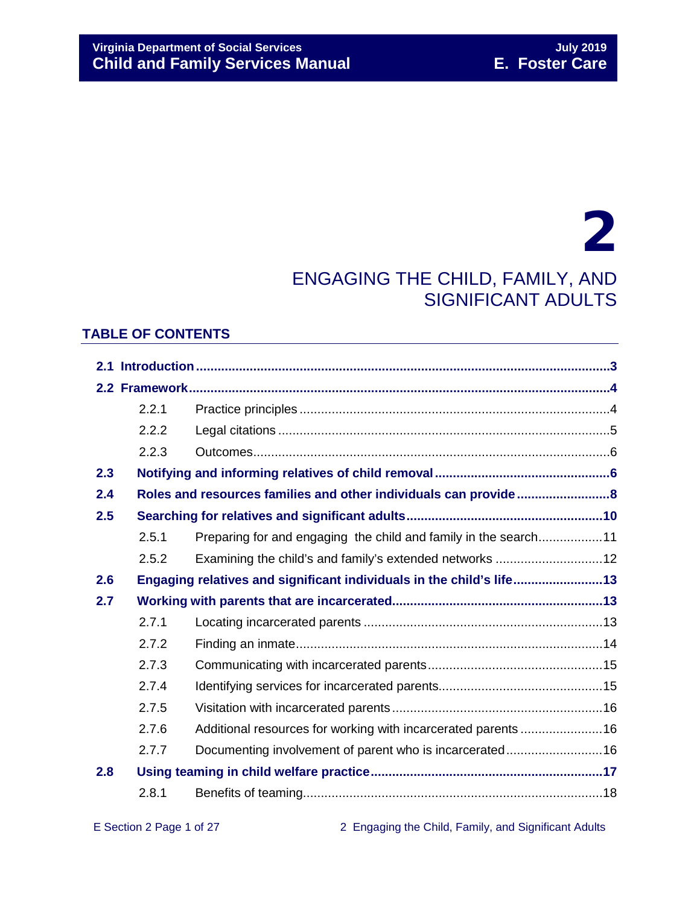## 2 ENGAGING THE CHILD, FAMILY, AND

### SIGNIFICANT ADULTS

#### **TABLE OF CONTENTS**

|     | 2.2.1 |                                                                      |  |  |  |
|-----|-------|----------------------------------------------------------------------|--|--|--|
|     | 2.2.2 |                                                                      |  |  |  |
|     | 2.2.3 |                                                                      |  |  |  |
| 2.3 |       |                                                                      |  |  |  |
| 2.4 |       |                                                                      |  |  |  |
| 2.5 |       |                                                                      |  |  |  |
|     | 2.5.1 | Preparing for and engaging the child and family in the search11      |  |  |  |
|     | 2.5.2 | Examining the child's and family's extended networks 12              |  |  |  |
| 2.6 |       | Engaging relatives and significant individuals in the child's life13 |  |  |  |
| 2.7 |       |                                                                      |  |  |  |
|     | 2.7.1 |                                                                      |  |  |  |
|     | 2.7.2 |                                                                      |  |  |  |
|     | 2.7.3 |                                                                      |  |  |  |
|     | 2.7.4 |                                                                      |  |  |  |
|     | 2.7.5 |                                                                      |  |  |  |
|     | 2.7.6 | Additional resources for working with incarcerated parents 16        |  |  |  |
|     | 2.7.7 | Documenting involvement of parent who is incarcerated16              |  |  |  |
| 2.8 |       |                                                                      |  |  |  |
|     | 2.8.1 |                                                                      |  |  |  |

E Section 2 Page 1 of 27 2 Engaging the Child, Family, and Significant Adults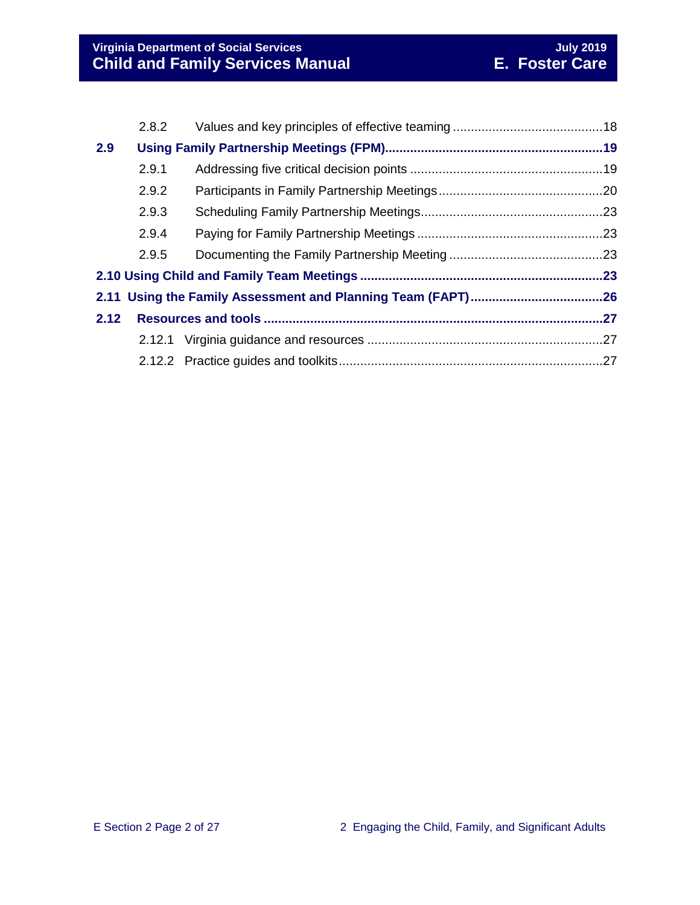|      | 2.8.2 |  |  |
|------|-------|--|--|
| 2.9  |       |  |  |
|      | 2.9.1 |  |  |
|      | 2.9.2 |  |  |
|      | 2.9.3 |  |  |
|      | 2.9.4 |  |  |
|      | 2.9.5 |  |  |
|      |       |  |  |
|      |       |  |  |
| 2.12 |       |  |  |
|      |       |  |  |
|      |       |  |  |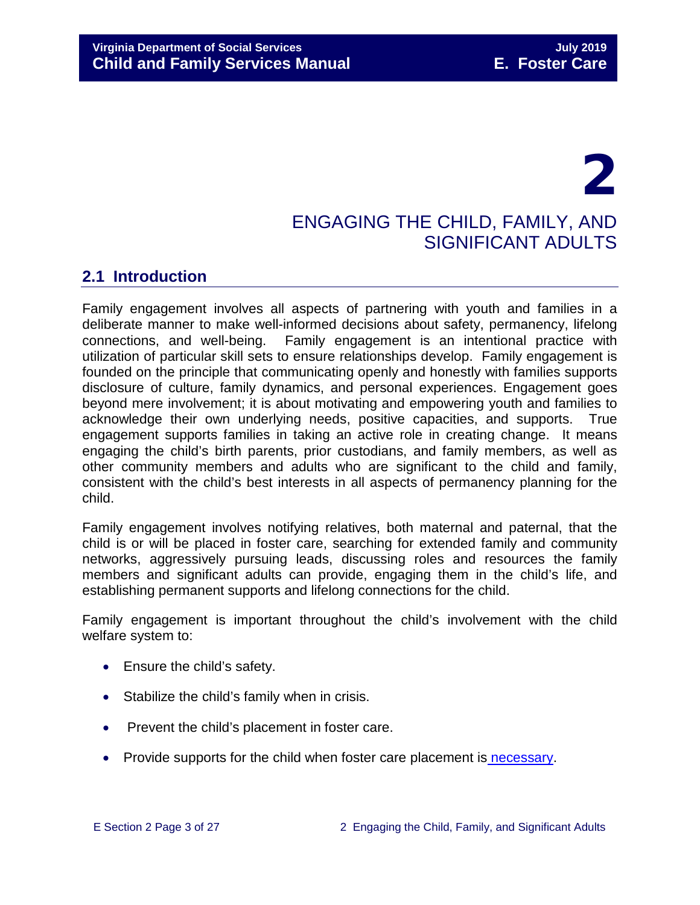# 2

#### ENGAGING THE CHILD, FAMILY, AND SIGNIFICANT ADULTS

#### <span id="page-2-0"></span>**2.1 Introduction**

Family engagement involves all aspects of partnering with youth and families in a deliberate manner to make well-informed decisions about safety, permanency, lifelong connections, and well-being. Family engagement is an intentional practice with utilization of particular skill sets to ensure relationships develop. Family engagement is founded on the principle that communicating openly and honestly with families supports disclosure of culture, family dynamics, and personal experiences. Engagement goes beyond mere involvement; it is about motivating and empowering youth and families to acknowledge their own underlying needs, positive capacities, and supports. True engagement supports families in taking an active role in creating change. It means engaging the child's birth parents, prior custodians, and family members, as well as other community members and adults who are significant to the child and family, consistent with the child's best interests in all aspects of permanency planning for the child.

Family engagement involves notifying relatives, both maternal and paternal, that the child is or will be placed in foster care, searching for extended family and community networks, aggressively pursuing leads, discussing roles and resources the family members and significant adults can provide, engaging them in the child's life, and establishing permanent supports and lifelong connections for the child.

Family engagement is important throughout the child's involvement with the child welfare system to:

- Ensure the child's safety.
- Stabilize the child's family when in crisis.
- Prevent the child's placement in foster care.
- Provide supports for the child when foster care placement is necessary.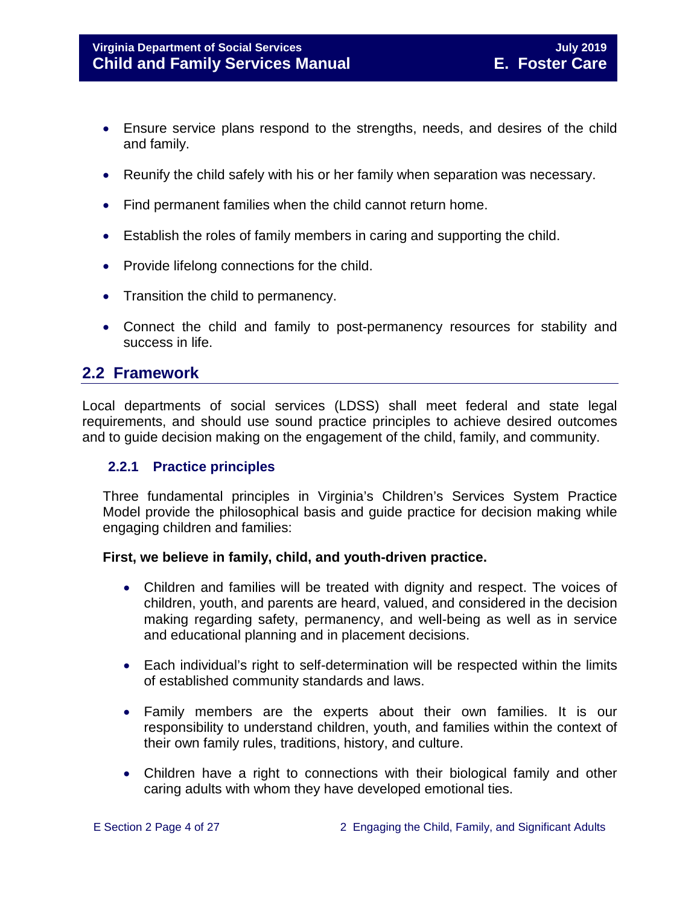- Ensure service plans respond to the strengths, needs, and desires of the child and family.
- Reunify the child safely with his or her family when separation was necessary.
- Find permanent families when the child cannot return home.
- Establish the roles of family members in caring and supporting the child.
- Provide lifelong connections for the child.
- Transition the child to permanency.
- Connect the child and family to post-permanency resources for stability and success in life.

#### <span id="page-3-0"></span>**2.2 Framework**

Local departments of social services (LDSS) shall meet federal and state legal requirements, and should use sound practice principles to achieve desired outcomes and to guide decision making on the engagement of the child, family, and community.

#### <span id="page-3-1"></span>**2.2.1 Practice principles**

Three fundamental principles in Virginia's Children's Services System Practice Model provide the philosophical basis and guide practice for decision making while engaging children and families:

#### **First, we believe in family, child, and youth-driven practice.**

- Children and families will be treated with dignity and respect. The voices of children, youth, and parents are heard, valued, and considered in the decision making regarding safety, permanency, and well-being as well as in service and educational planning and in placement decisions.
- Each individual's right to self-determination will be respected within the limits of established community standards and laws.
- Family members are the experts about their own families. It is our responsibility to understand children, youth, and families within the context of their own family rules, traditions, history, and culture.
- Children have a right to connections with their biological family and other caring adults with whom they have developed emotional ties.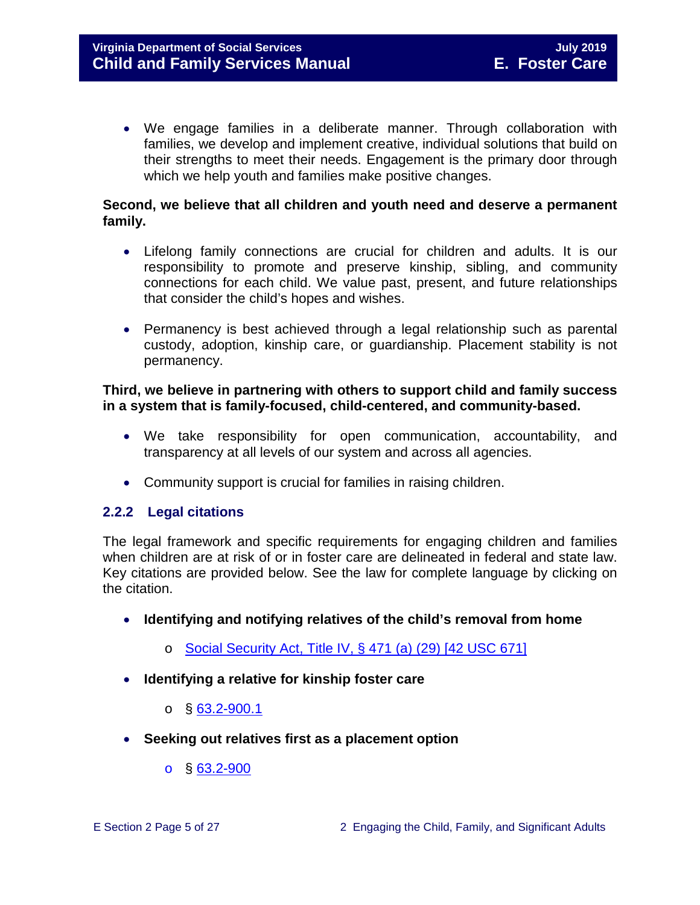• We engage families in a deliberate manner. Through collaboration with families, we develop and implement creative, individual solutions that build on their strengths to meet their needs. Engagement is the primary door through which we help youth and families make positive changes.

#### **Second, we believe that all children and youth need and deserve a permanent family.**

- Lifelong family connections are crucial for children and adults. It is our responsibility to promote and preserve kinship, sibling, and community connections for each child. We value past, present, and future relationships that consider the child's hopes and wishes.
- Permanency is best achieved through a legal relationship such as parental custody, adoption, kinship care, or guardianship. Placement stability is not permanency.

#### **Third, we believe in partnering with others to support child and family success in a system that is family-focused, child-centered, and community-based.**

- We take responsibility for open communication, accountability, and transparency at all levels of our system and across all agencies.
- <span id="page-4-0"></span>• Community support is crucial for families in raising children.

#### **2.2.2 Legal citations**

The legal framework and specific requirements for engaging children and families when children are at risk of or in foster care are delineated in federal and state law. Key citations are provided below. See the law for complete language by clicking on the citation.

- **Identifying and notifying relatives of the child's removal from home** 
	- o [Social Security Act, Title IV, § 471 \(a\) \(29\) \[42 USC 671\]](http://www.ssa.gov/OP_Home/ssact/title04/0471.htm)
- **Identifying a relative for kinship foster care**
	- $\circ$  § [63.2-900.1](http://law.lis.virginia.gov/vacode/63.2-900.1/)
- **Seeking out relatives first as a placement option** 
	- o § [63.2-900](http://law.lis.virginia.gov/vacode/63.2-900/)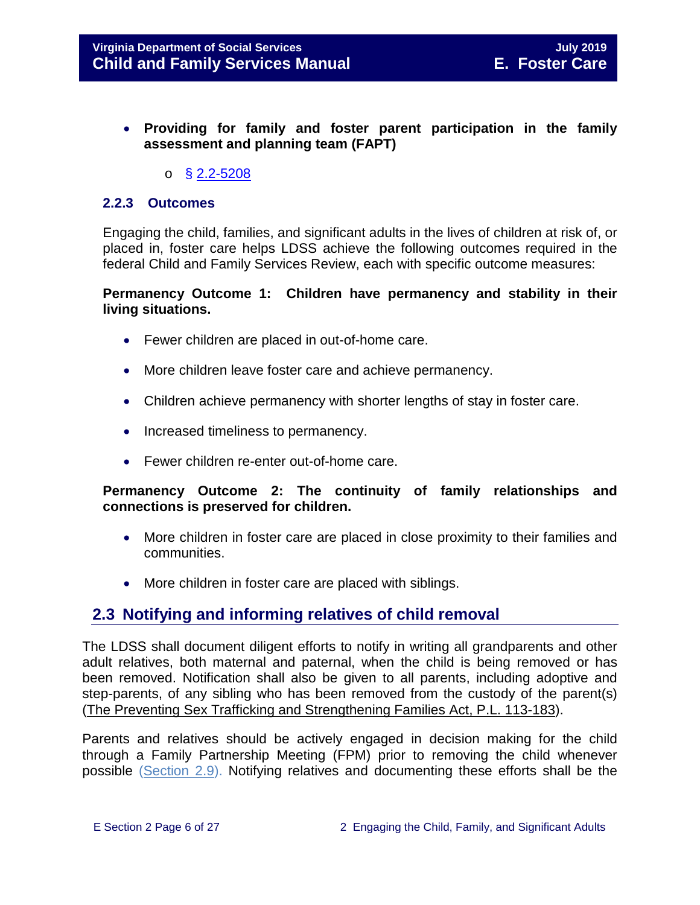- **Providing for family and foster parent participation in the family assessment and planning team (FAPT)** 
	- $\circ$  § [2.2-5208](http://law.lis.virginia.gov/vacode/2.2-5208/)

#### <span id="page-5-0"></span>**2.2.3 Outcomes**

Engaging the child, families, and significant adults in the lives of children at risk of, or placed in, foster care helps LDSS achieve the following outcomes required in the federal Child and Family Services Review, each with specific outcome measures:

#### **Permanency Outcome 1: Children have permanency and stability in their living situations.**

- Fewer children are placed in out-of-home care.
- More children leave foster care and achieve permanency.
- Children achieve permanency with shorter lengths of stay in foster care.
- Increased timeliness to permanency.
- Fewer children re-enter out-of-home care.

#### **Permanency Outcome 2: The continuity of family relationships and connections is preserved for children.**

- More children in foster care are placed in close proximity to their families and communities.
- More children in foster care are placed with siblings.

#### <span id="page-5-1"></span>**2.3 Notifying and informing relatives of child removal**

The LDSS shall document diligent efforts to notify in writing all grandparents and other adult relatives, both maternal and paternal, when the child is being removed or has been removed. Notification shall also be given to all parents, including adoptive and step-parents, of any sibling who has been removed from the custody of the parent(s) [\(The Preventing Sex Trafficking and Strengthening Families Act, P.L. 113-183\)](https://www.congress.gov/113/bills/hr4980/BILLS-113hr4980enr.pdf).

Parents and relatives should be actively engaged in decision making for the child through a Family Partnership Meeting (FPM) prior to removing the child whenever possible [\(Section 2.9\)](#page-18-0). Notifying relatives and documenting these efforts shall be the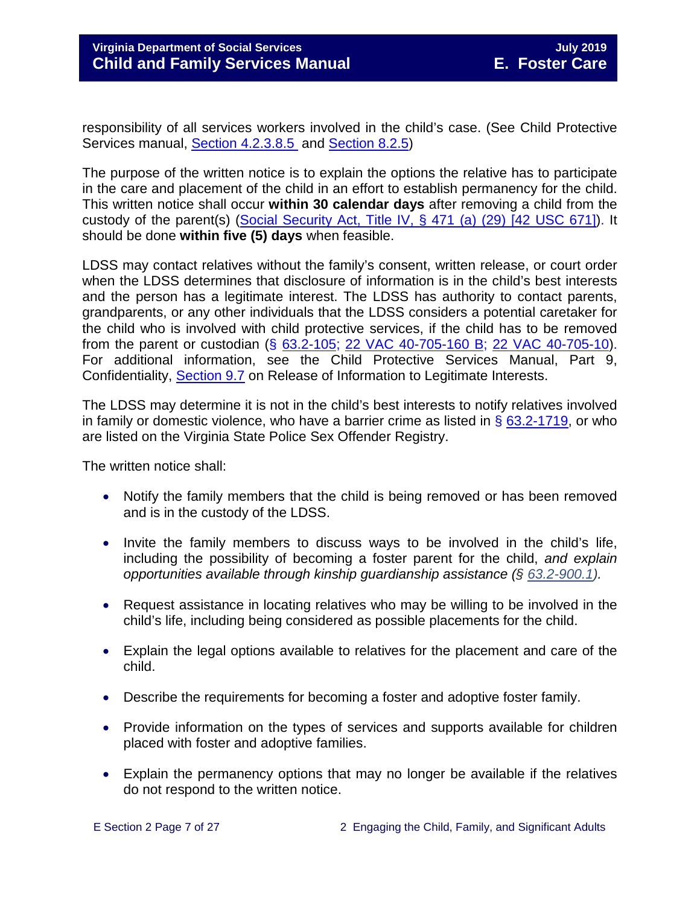responsibility of all services workers involved in the child's case. (See Child Protective Services manual, [Section 4.2.3.8.5](http://www.dss.virginia.gov/files/division/dfs/cps/intro_page/manuals/07-2017/section_4_family_assessment_and_investigation.pdf#page=24) and [Section 8.2.5\)](http://www.dss.virginia.gov/files/division/dfs/cps/intro_page/manuals/07-2017/section_8_judicial_proceedings.pdf#page=9)

The purpose of the written notice is to explain the options the relative has to participate in the care and placement of the child in an effort to establish permanency for the child. This written notice shall occur **within 30 calendar days** after removing a child from the custody of the parent(s) [\(Social Security Act, Title IV, § 471 \(a\) \(29\) \[42 USC 671\]\)](http://www.ssa.gov/OP_Home/ssact/title04/0471.htm). It should be done **within five (5) days** when feasible.

LDSS may contact relatives without the family's consent, written release, or court order when the LDSS determines that disclosure of information is in the child's best interests and the person has a legitimate interest. The LDSS has authority to contact parents, grandparents, or any other individuals that the LDSS considers a potential caretaker for the child who is involved with child protective services, if the child has to be removed from the parent or custodian (§ [63.2-105;](http://law.lis.virginia.gov/vacode/63.2-105/) [22 VAC 40-705-160 B;](http://law.lis.virginia.gov/admincode/title22/agency40/chapter705/section160/) [22 VAC 40-705-10\)](http://law.lis.virginia.gov/admincode/title22/agency40/chapter705/section10/). For additional information, see the Child Protective Services Manual, Part 9, Confidentiality, [Section 9.7](http://www.dss.virginia.gov/files/division/dfs/cps/intro_page/manuals/07-2017/section_9_confidentiality.pdf#page=18) on Release of Information to Legitimate Interests.

The LDSS may determine it is not in the child's best interests to notify relatives involved in family or domestic violence, who have a barrier crime as listed in  $\S$  [63.2-1719,](http://law.lis.virginia.gov/vacode/63.2-1719/) or who are listed on the Virginia State Police Sex Offender Registry.

The written notice shall:

- Notify the family members that the child is being removed or has been removed and is in the custody of the LDSS.
- Invite the family members to discuss ways to be involved in the child's life, including the possibility of becoming a foster parent for the child, *and explain opportunities available through kinship guardianship assistance (§ [63.2-900.1\)](http://law.lis.virginia.gov/vacode/63.2-900.1).*
- Request assistance in locating relatives who may be willing to be involved in the child's life, including being considered as possible placements for the child.
- Explain the legal options available to relatives for the placement and care of the child.
- Describe the requirements for becoming a foster and adoptive foster family.
- Provide information on the types of services and supports available for children placed with foster and adoptive families.
- Explain the permanency options that may no longer be available if the relatives do not respond to the written notice.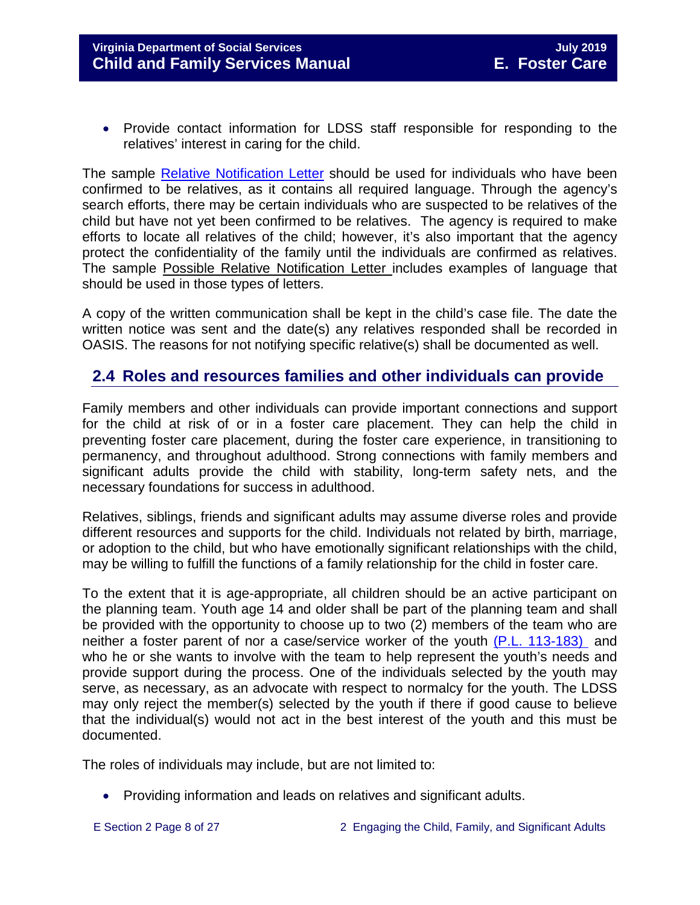• Provide contact information for LDSS staff responsible for responding to the relatives' interest in caring for the child.

The sample [Relative Notification Letter](http://www.dss.virginia.gov/files/division/dfs/fc/intro_page/forms/032-04-0074-00-eng.doc) should be used for individuals who have been confirmed to be relatives, as it contains all required language. Through the agency's search efforts, there may be certain individuals who are suspected to be relatives of the child but have not yet been confirmed to be relatives. The agency is required to make efforts to locate all relatives of the child; however, it's also important that the agency protect the confidentiality of the family until the individuals are confirmed as relatives. The sample Possible Relative Notification Letter includes examples of language that should be used in those types of letters.

A copy of the written communication shall be kept in the child's case file. The date the written notice was sent and the date(s) any relatives responded shall be recorded in OASIS. The reasons for not notifying specific relative(s) shall be documented as well.

#### <span id="page-7-0"></span>**2.4 Roles and resources families and other individuals can provide**

Family members and other individuals can provide important connections and support for the child at risk of or in a foster care placement. They can help the child in preventing foster care placement, during the foster care experience, in transitioning to permanency, and throughout adulthood. Strong connections with family members and significant adults provide the child with stability, long-term safety nets, and the necessary foundations for success in adulthood.

Relatives, siblings, friends and significant adults may assume diverse roles and provide different resources and supports for the child. Individuals not related by birth, marriage, or adoption to the child, but who have emotionally significant relationships with the child, may be willing to fulfill the functions of a family relationship for the child in foster care.

To the extent that it is age-appropriate, all children should be an active participant on the planning team. Youth age 14 and older shall be part of the planning team and shall be provided with the opportunity to choose up to two (2) members of the team who are neither a foster parent of nor a case/service worker of the youth [\(P.L. 113-183\)](https://www.congress.gov/113/plaws/publ183/PLAW-113publ183.pdf) and who he or she wants to involve with the team to help represent the youth's needs and provide support during the process. One of the individuals selected by the youth may serve, as necessary, as an advocate with respect to normalcy for the youth. The LDSS may only reject the member(s) selected by the youth if there if good cause to believe that the individual(s) would not act in the best interest of the youth and this must be documented.

The roles of individuals may include, but are not limited to:

- Providing information and leads on relatives and significant adults.
-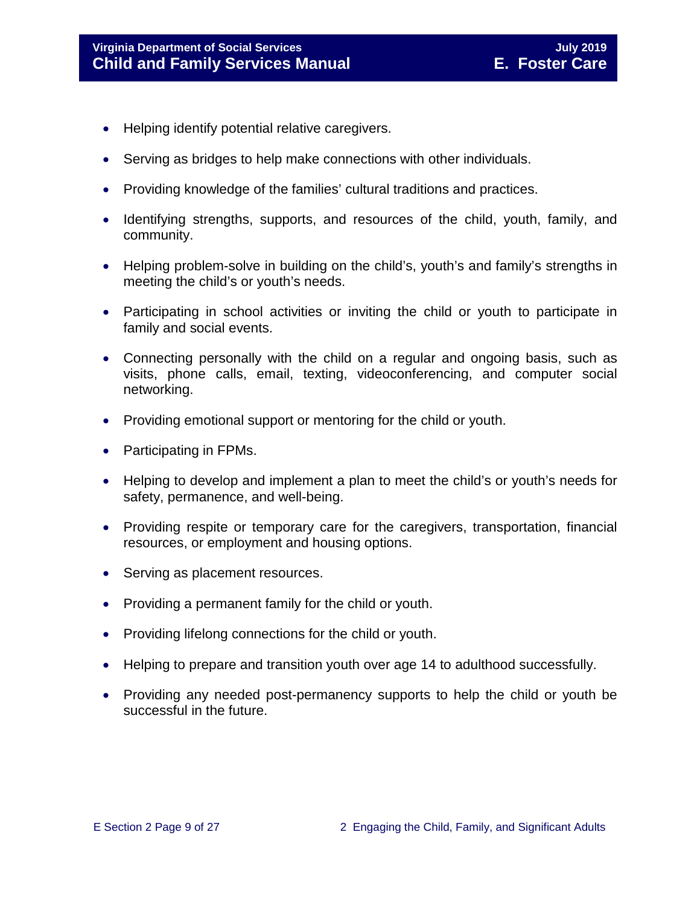- Helping identify potential relative caregivers.
- Serving as bridges to help make connections with other individuals.
- Providing knowledge of the families' cultural traditions and practices.
- Identifying strengths, supports, and resources of the child, youth, family, and community.
- Helping problem-solve in building on the child's, youth's and family's strengths in meeting the child's or youth's needs.
- Participating in school activities or inviting the child or youth to participate in family and social events.
- Connecting personally with the child on a regular and ongoing basis, such as visits, phone calls, email, texting, videoconferencing, and computer social networking.
- Providing emotional support or mentoring for the child or youth.
- Participating in FPMs.
- Helping to develop and implement a plan to meet the child's or youth's needs for safety, permanence, and well-being.
- Providing respite or temporary care for the caregivers, transportation, financial resources, or employment and housing options.
- Serving as placement resources.
- Providing a permanent family for the child or youth.
- Providing lifelong connections for the child or youth.
- Helping to prepare and transition youth over age 14 to adulthood successfully.
- Providing any needed post-permanency supports to help the child or youth be successful in the future.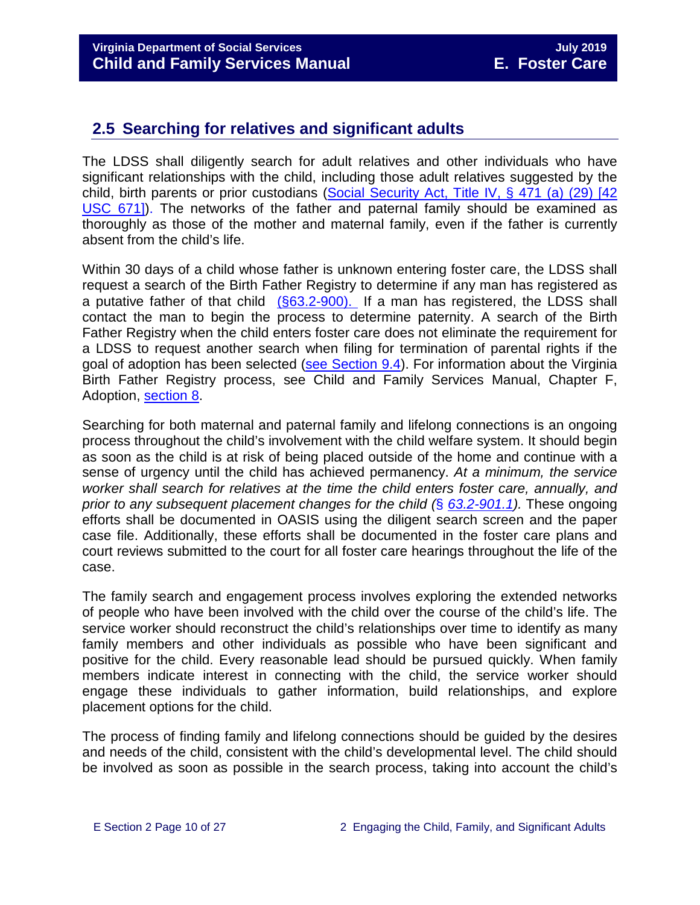#### <span id="page-9-0"></span>**2.5 Searching for relatives and significant adults**

The LDSS shall diligently search for adult relatives and other individuals who have significant relationships with the child, including those adult relatives suggested by the child, birth parents or prior custodians (Social [Security Act, Title IV, § 471 \(a\) \(29\) \[42](http://www.ssa.gov/OP_Home/ssact/title04/0471.htm)  [USC 671\]\)](http://www.ssa.gov/OP_Home/ssact/title04/0471.htm). The networks of the father and paternal family should be examined as thoroughly as those of the mother and maternal family, even if the father is currently absent from the child's life.

Within 30 days of a child whose father is unknown entering foster care, the LDSS shall request a search of the Birth Father Registry to determine if any man has registered as a putative father of that child [\(§63.2-900\).](http://law.lis.virginia.gov/vacode/63.2-900/) If a man has registered, the LDSS shall contact the man to begin the process to determine paternity. A search of the Birth Father Registry when the child enters foster care does not eliminate the requirement for a LDSS to request another search when filing for termination of parental rights if the goal of adoption has been selected [\(see Section 9.4\)](file://Vaultcelerra.co.dss.state.va.us/Workgroup/Family_Services/DFS%20Child%20and%20Family%20Services%20Manual/E.%20Foster%20Care/Foster%20Care%20June%202017/section_9_achieving_permanency_goal_adoption%20draft.docx). For information about the Virginia Birth Father Registry process, see Child and Family Services Manual, Chapter F, Adoption, [section 8.](http://www.dss.virginia.gov/files/division/dfs/ap/intro_page/manuals/07-01-2014/section_8_putative_father_registry.pdf)

Searching for both maternal and paternal family and lifelong connections is an ongoing process throughout the child's involvement with the child welfare system. It should begin as soon as the child is at risk of being placed outside of the home and continue with a sense of urgency until the child has achieved permanency. *At a minimum, the service worker shall search for relatives at the time the child enters foster care, annually, and prior to any subsequent placement changes for the child (*§ *[63.2-901.1\)](https://law.lis.virginia.gov/vacode/63.2-900.1).* These ongoing efforts shall be documented in OASIS using the diligent search screen and the paper case file. Additionally, these efforts shall be documented in the foster care plans and court reviews submitted to the court for all foster care hearings throughout the life of the case.

The family search and engagement process involves exploring the extended networks of people who have been involved with the child over the course of the child's life. The service worker should reconstruct the child's relationships over time to identify as many family members and other individuals as possible who have been significant and positive for the child. Every reasonable lead should be pursued quickly. When family members indicate interest in connecting with the child, the service worker should engage these individuals to gather information, build relationships, and explore placement options for the child.

The process of finding family and lifelong connections should be guided by the desires and needs of the child, consistent with the child's developmental level. The child should be involved as soon as possible in the search process, taking into account the child's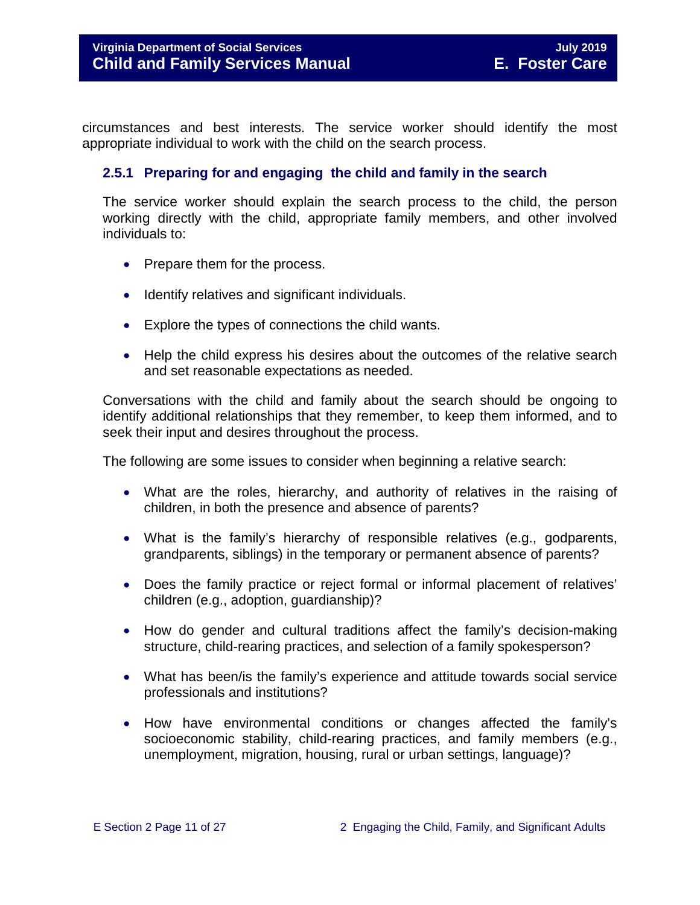circumstances and best interests. The service worker should identify the most appropriate individual to work with the child on the search process.

#### <span id="page-10-0"></span>**2.5.1 Preparing for and engaging the child and family in the search**

The service worker should explain the search process to the child, the person working directly with the child, appropriate family members, and other involved individuals to:

- Prepare them for the process.
- Identify relatives and significant individuals.
- Explore the types of connections the child wants.
- Help the child express his desires about the outcomes of the relative search and set reasonable expectations as needed.

Conversations with the child and family about the search should be ongoing to identify additional relationships that they remember, to keep them informed, and to seek their input and desires throughout the process.

The following are some issues to consider when beginning a relative search:

- What are the roles, hierarchy, and authority of relatives in the raising of children, in both the presence and absence of parents?
- What is the family's hierarchy of responsible relatives (e.g., godparents, grandparents, siblings) in the temporary or permanent absence of parents?
- Does the family practice or reject formal or informal placement of relatives' children (e.g., adoption, guardianship)?
- How do gender and cultural traditions affect the family's decision-making structure, child-rearing practices, and selection of a family spokesperson?
- What has been/is the family's experience and attitude towards social service professionals and institutions?
- How have environmental conditions or changes affected the family's socioeconomic stability, child-rearing practices, and family members (e.g., unemployment, migration, housing, rural or urban settings, language)?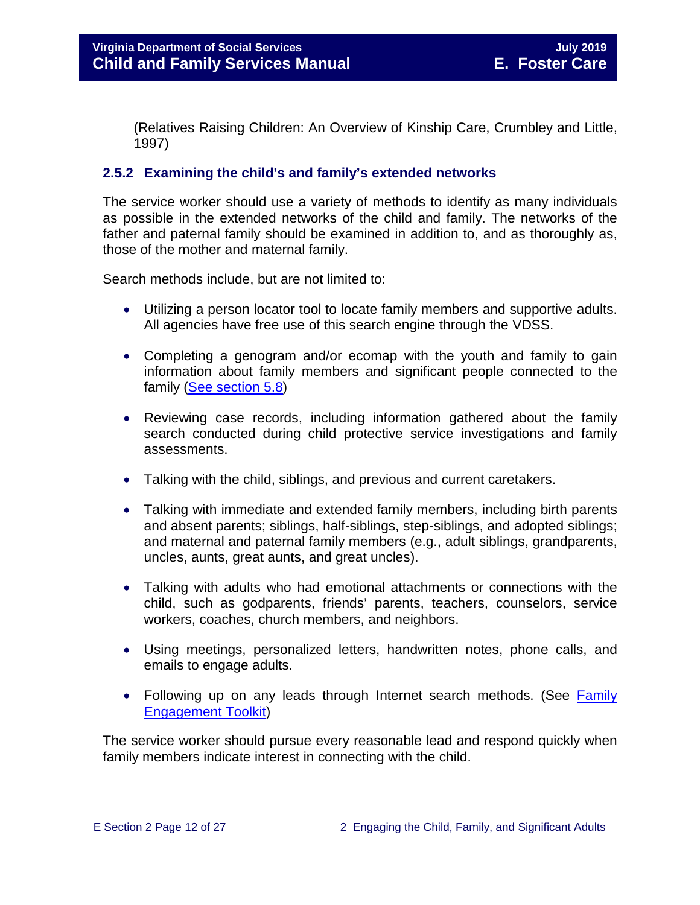(Relatives Raising Children: An Overview of Kinship Care, Crumbley and Little, 1997)

#### <span id="page-11-0"></span>**2.5.2 Examining the child's and family's extended networks**

The service worker should use a variety of methods to identify as many individuals as possible in the extended networks of the child and family. The networks of the father and paternal family should be examined in addition to, and as thoroughly as, those of the mother and maternal family.

Search methods include, but are not limited to:

- Utilizing a person locator tool to locate family members and supportive adults. All agencies have free use of this search engine through the VDSS.
- Completing a genogram and/or ecomap with the youth and family to gain information about family members and significant people connected to the family [\(See section 5.8\)](file://Vaultcelerra.co.dss.state.va.us/Workgroup/Family_Services/DFS%20Child%20and%20Family%20Services%20Manual/E.%20Foster%20Care/Foster%20Care%20June%202017/section_5_conducting_child_and_family_assessment.docx)
- Reviewing case records, including information gathered about the family search conducted during child protective service investigations and family assessments.
- Talking with the child, siblings, and previous and current caretakers.
- Talking with immediate and extended family members, including birth parents and absent parents; siblings, half-siblings, step-siblings, and adopted siblings; and maternal and paternal family members (e.g., adult siblings, grandparents, uncles, aunts, great aunts, and great uncles).
- Talking with adults who had emotional attachments or connections with the child, such as godparents, friends' parents, teachers, counselors, service workers, coaches, church members, and neighbors.
- Using meetings, personalized letters, handwritten notes, phone calls, and emails to engage adults.
- Following up on any leads through Internet search methods. (See Family [Engagement Toolkit\)](http://www.dss.virginia.gov/family/fe.cgi)

The service worker should pursue every reasonable lead and respond quickly when family members indicate interest in connecting with the child.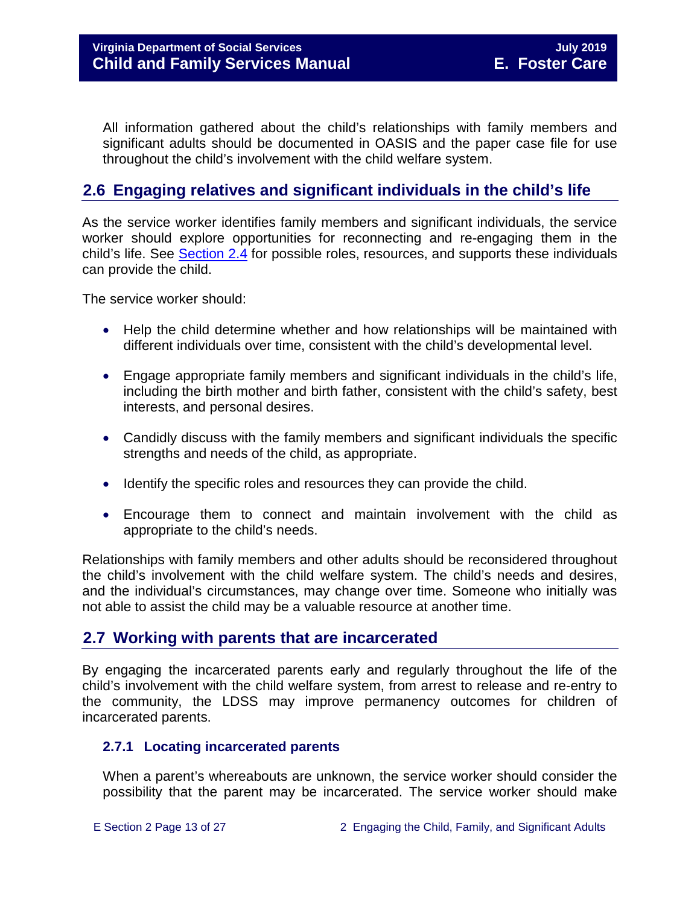All information gathered about the child's relationships with family members and significant adults should be documented in OASIS and the paper case file for use throughout the child's involvement with the child welfare system.

#### <span id="page-12-0"></span>**2.6 Engaging relatives and significant individuals in the child's life**

As the service worker identifies family members and significant individuals, the service worker should explore opportunities for reconnecting and re-engaging them in the child's life. See [Section](#page-7-0) 2.4 for possible roles, resources, and supports these individuals can provide the child.

The service worker should:

- Help the child determine whether and how relationships will be maintained with different individuals over time, consistent with the child's developmental level.
- Engage appropriate family members and significant individuals in the child's life, including the birth mother and birth father, consistent with the child's safety, best interests, and personal desires.
- Candidly discuss with the family members and significant individuals the specific strengths and needs of the child, as appropriate.
- Identify the specific roles and resources they can provide the child.
- Encourage them to connect and maintain involvement with the child as appropriate to the child's needs.

Relationships with family members and other adults should be reconsidered throughout the child's involvement with the child welfare system. The child's needs and desires, and the individual's circumstances, may change over time. Someone who initially was not able to assist the child may be a valuable resource at another time.

#### <span id="page-12-1"></span>**2.7 Working with parents that are incarcerated**

By engaging the incarcerated parents early and regularly throughout the life of the child's involvement with the child welfare system, from arrest to release and re-entry to the community, the LDSS may improve permanency outcomes for children of incarcerated parents.

#### <span id="page-12-2"></span>**2.7.1 Locating incarcerated parents**

When a parent's whereabouts are unknown, the service worker should consider the possibility that the parent may be incarcerated. The service worker should make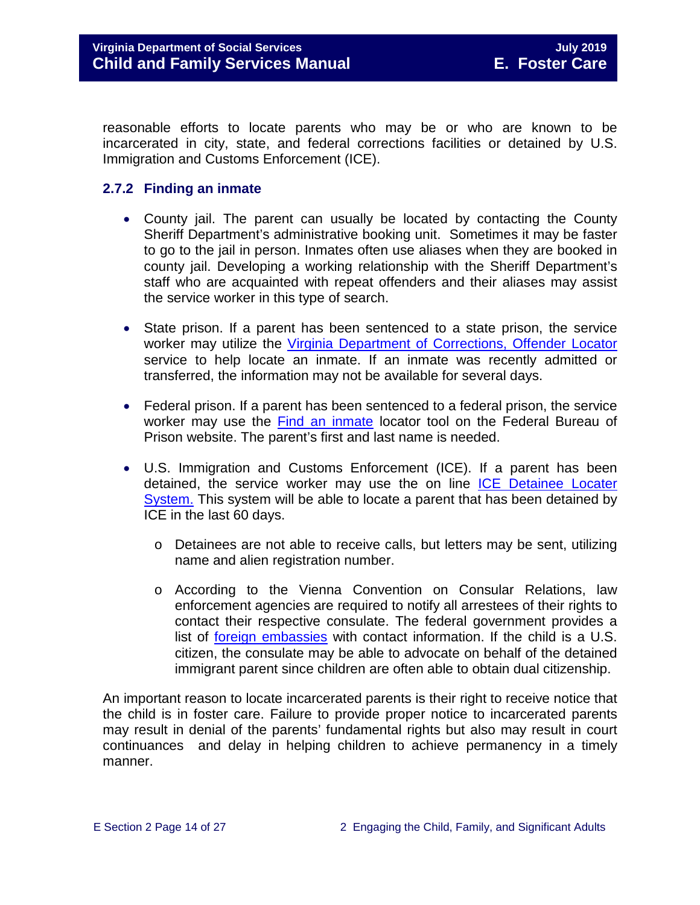reasonable efforts to locate parents who may be or who are known to be incarcerated in city, state, and federal corrections facilities or detained by U.S. Immigration and Customs Enforcement (ICE).

#### <span id="page-13-0"></span>**2.7.2 Finding an inmate**

- County jail. The parent can usually be located by contacting the County Sheriff Department's administrative booking unit. Sometimes it may be faster to go to the jail in person. Inmates often use aliases when they are booked in county jail. Developing a working relationship with the Sheriff Department's staff who are acquainted with repeat offenders and their aliases may assist the service worker in this type of search.
- State prison. If a parent has been sentenced to a state prison, the service worker may utilize the [Virginia Department of Corrections, Offender Locator](http://vadoc.virginia.gov/offenders/locator/index.aspx) service to help locate an inmate. If an inmate was recently admitted or transferred, the information may not be available for several days.
- Federal prison. If a parent has been sentenced to a federal prison, the service worker may use the [Find an inmate](http://www.bop.gov/inmateloc/) locator tool on the Federal Bureau of Prison website. The parent's first and last name is needed.
- U.S. Immigration and Customs Enforcement (ICE). If a parent has been detained, the service worker may use the on line [ICE Detainee Locater](https://locator.ice.gov/odls/homePage.do)  [System.](https://locator.ice.gov/odls/homePage.do) This system will be able to locate a parent that has been detained by ICE in the last 60 days.
	- o Detainees are not able to receive calls, but letters may be sent, utilizing name and alien registration number.
	- o According to the Vienna Convention on Consular Relations, law enforcement agencies are required to notify all arrestees of their rights to contact their respective consulate. The federal government provides a list of [foreign embassies](http://www.embassy.org/embassies/) with contact information. If the child is a U.S. citizen, the consulate may be able to advocate on behalf of the detained immigrant parent since children are often able to obtain dual citizenship.

An important reason to locate incarcerated parents is their right to receive notice that the child is in foster care. Failure to provide proper notice to incarcerated parents may result in denial of the parents' fundamental rights but also may result in court continuances and delay in helping children to achieve permanency in a timely manner.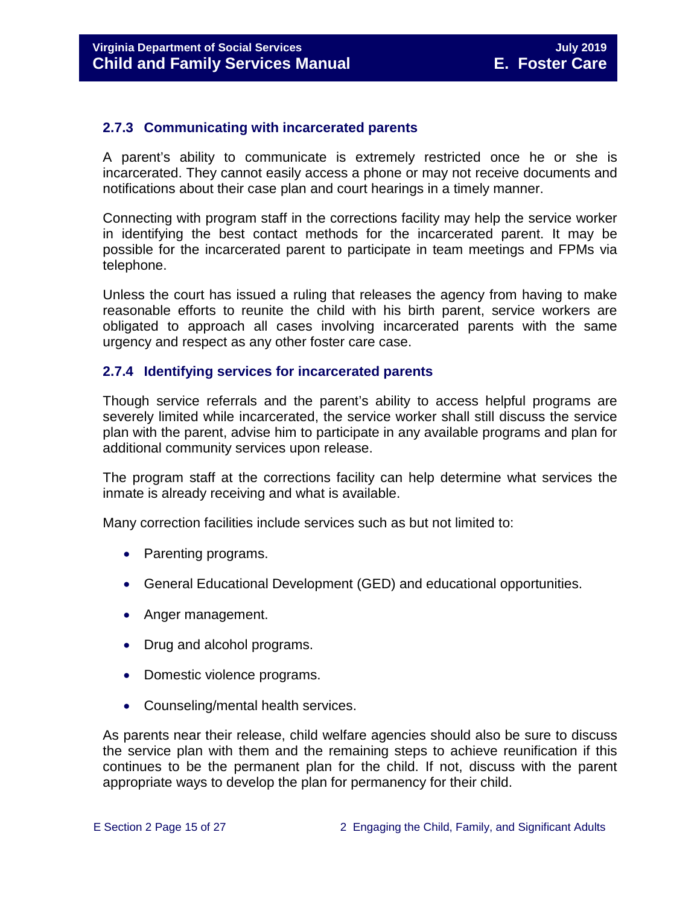#### <span id="page-14-0"></span>**2.7.3 Communicating with incarcerated parents**

A parent's ability to communicate is extremely restricted once he or she is incarcerated. They cannot easily access a phone or may not receive documents and notifications about their case plan and court hearings in a timely manner.

Connecting with program staff in the corrections facility may help the service worker in identifying the best contact methods for the incarcerated parent. It may be possible for the incarcerated parent to participate in team meetings and FPMs via telephone.

Unless the court has issued a ruling that releases the agency from having to make reasonable efforts to reunite the child with his birth parent, service workers are obligated to approach all cases involving incarcerated parents with the same urgency and respect as any other foster care case.

#### <span id="page-14-1"></span>**2.7.4 Identifying services for incarcerated parents**

Though service referrals and the parent's ability to access helpful programs are severely limited while incarcerated, the service worker shall still discuss the service plan with the parent, advise him to participate in any available programs and plan for additional community services upon release.

The program staff at the corrections facility can help determine what services the inmate is already receiving and what is available.

Many correction facilities include services such as but not limited to:

- Parenting programs.
- General Educational Development (GED) and educational opportunities.
- Anger management.
- Drug and alcohol programs.
- Domestic violence programs.
- Counseling/mental health services.

As parents near their release, child welfare agencies should also be sure to discuss the service plan with them and the remaining steps to achieve reunification if this continues to be the permanent plan for the child. If not, discuss with the parent appropriate ways to develop the plan for permanency for their child.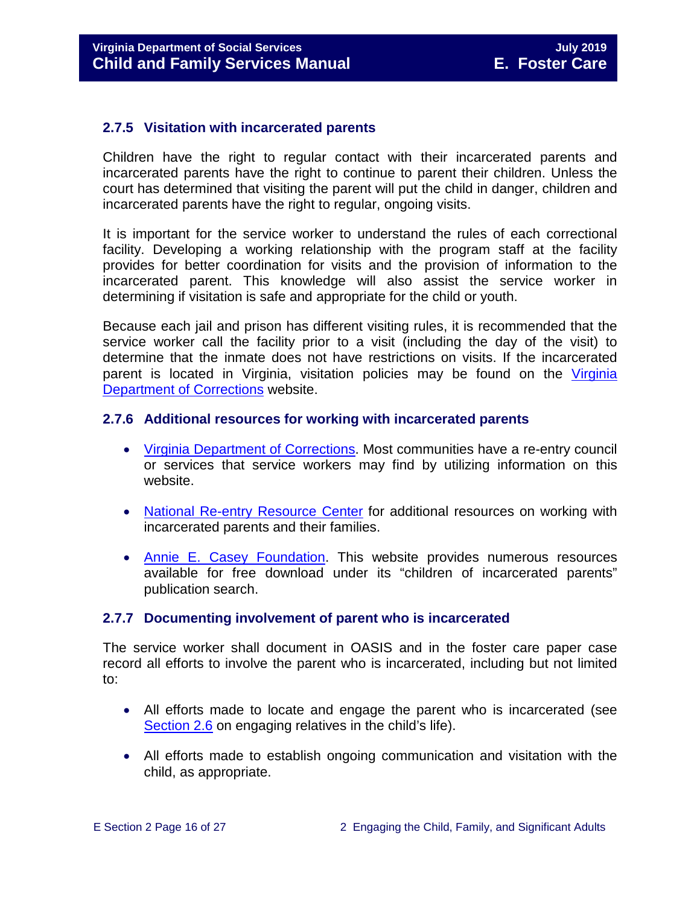#### <span id="page-15-0"></span>**2.7.5 Visitation with incarcerated parents**

Children have the right to regular contact with their incarcerated parents and incarcerated parents have the right to continue to parent their children. Unless the court has determined that visiting the parent will put the child in danger, children and incarcerated parents have the right to regular, ongoing visits.

It is important for the service worker to understand the rules of each correctional facility. Developing a working relationship with the program staff at the facility provides for better coordination for visits and the provision of information to the incarcerated parent. This knowledge will also assist the service worker in determining if visitation is safe and appropriate for the child or youth.

Because each jail and prison has different visiting rules, it is recommended that the service worker call the facility prior to a visit (including the day of the visit) to determine that the inmate does not have restrictions on visits. If the incarcerated parent is located in Virginia, visitation policies may be found on the [Virginia](http://vadoc.virginia.gov/offenders/visitation/default.shtm)  [Department of Corrections](http://vadoc.virginia.gov/offenders/visitation/default.shtm) website.

#### <span id="page-15-1"></span>**2.7.6 Additional resources for working with incarcerated parents**

- [Virginia Department of Corrections.](http://www.vadoc.virginia.gov/) Most communities have a re-entry council or services that service workers may find by utilizing information on this website.
- [National Re-entry Resource Center](https://csgjusticecenter.org/nrrc/publications/about-the-national-reentry-resource-center/) for additional resources on working with incarcerated parents and their families.
- [Annie E. Casey Foundation.](http://www.aecf.org/) This website provides numerous resources available for free download under its "children of incarcerated parents" publication search.

#### <span id="page-15-2"></span>**2.7.7 Documenting involvement of parent who is incarcerated**

The service worker shall document in OASIS and in the foster care paper case record all efforts to involve the parent who is incarcerated, including but not limited to:

- All efforts made to locate and engage the parent who is incarcerated (see [Section 2.6](http://www.dss.virginia.gov/family/fc/index.cgi#manuals) on engaging relatives in the child's life).
- All efforts made to establish ongoing communication and visitation with the child, as appropriate.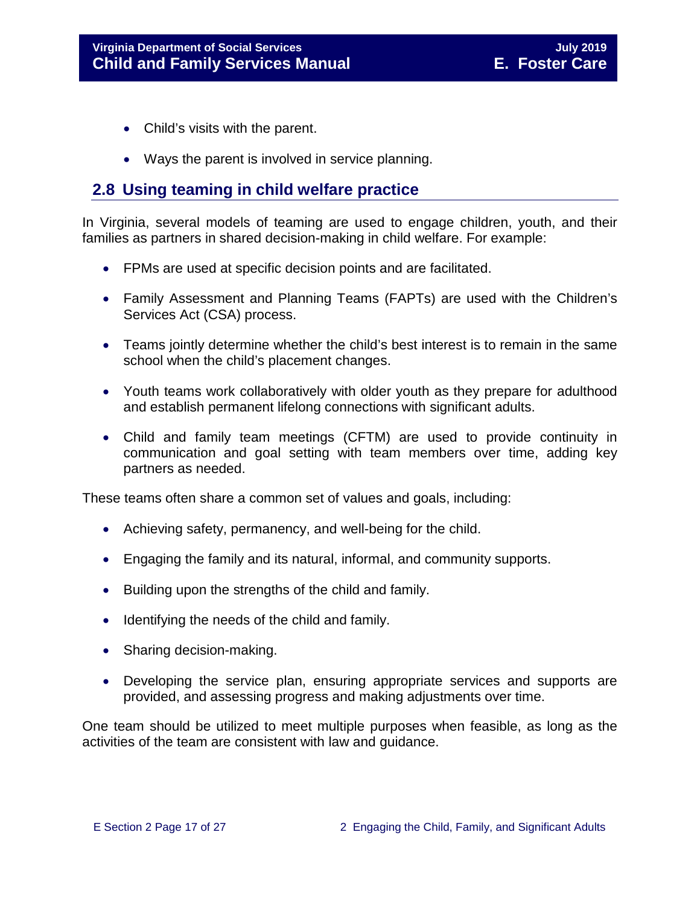- Child's visits with the parent.
- Ways the parent is involved in service planning.

#### <span id="page-16-0"></span>**2.8 Using teaming in child welfare practice**

In Virginia, several models of teaming are used to engage children, youth, and their families as partners in shared decision-making in child welfare. For example:

- FPMs are used at specific decision points and are facilitated.
- Family Assessment and Planning Teams (FAPTs) are used with the Children's Services Act (CSA) process.
- Teams jointly determine whether the child's best interest is to remain in the same school when the child's placement changes.
- Youth teams work collaboratively with older youth as they prepare for adulthood and establish permanent lifelong connections with significant adults.
- Child and family team meetings (CFTM) are used to provide continuity in communication and goal setting with team members over time, adding key partners as needed.

These teams often share a common set of values and goals, including:

- Achieving safety, permanency, and well-being for the child.
- Engaging the family and its natural, informal, and community supports.
- Building upon the strengths of the child and family.
- Identifying the needs of the child and family.
- Sharing decision-making.
- Developing the service plan, ensuring appropriate services and supports are provided, and assessing progress and making adjustments over time.

One team should be utilized to meet multiple purposes when feasible, as long as the activities of the team are consistent with law and guidance.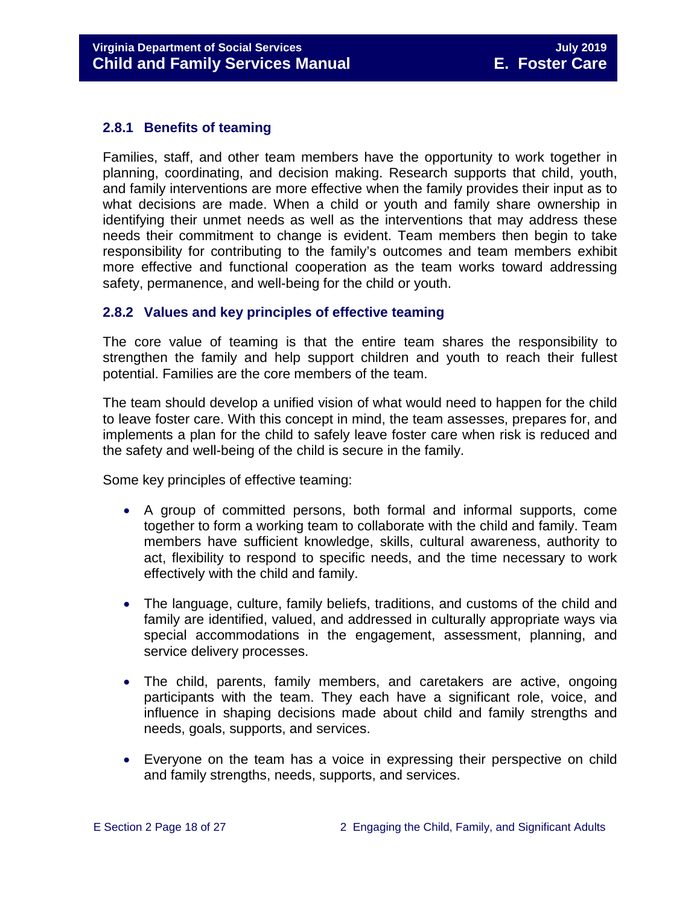#### <span id="page-17-0"></span>**2.8.1 Benefits of teaming**

Families, staff, and other team members have the opportunity to work together in planning, coordinating, and decision making. Research supports that child, youth, and family interventions are more effective when the family provides their input as to what decisions are made. When a child or youth and family share ownership in identifying their unmet needs as well as the interventions that may address these needs their commitment to change is evident. Team members then begin to take responsibility for contributing to the family's outcomes and team members exhibit more effective and functional cooperation as the team works toward addressing safety, permanence, and well-being for the child or youth.

#### <span id="page-17-1"></span>**2.8.2 Values and key principles of effective teaming**

The core value of teaming is that the entire team shares the responsibility to strengthen the family and help support children and youth to reach their fullest potential. Families are the core members of the team.

The team should develop a unified vision of what would need to happen for the child to leave foster care. With this concept in mind, the team assesses, prepares for, and implements a plan for the child to safely leave foster care when risk is reduced and the safety and well-being of the child is secure in the family.

Some key principles of effective teaming:

- A group of committed persons, both formal and informal supports, come together to form a working team to collaborate with the child and family. Team members have sufficient knowledge, skills, cultural awareness, authority to act, flexibility to respond to specific needs, and the time necessary to work effectively with the child and family.
- The language, culture, family beliefs, traditions, and customs of the child and family are identified, valued, and addressed in culturally appropriate ways via special accommodations in the engagement, assessment, planning, and service delivery processes.
- The child, parents, family members, and caretakers are active, ongoing participants with the team. They each have a significant role, voice, and influence in shaping decisions made about child and family strengths and needs, goals, supports, and services.
- Everyone on the team has a voice in expressing their perspective on child and family strengths, needs, supports, and services.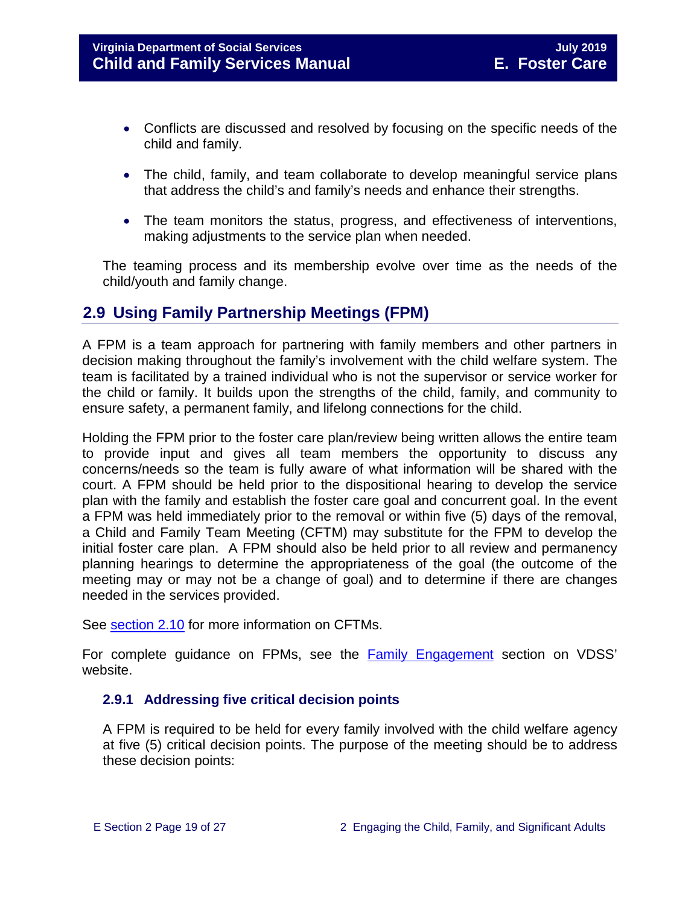- Conflicts are discussed and resolved by focusing on the specific needs of the child and family.
- The child, family, and team collaborate to develop meaningful service plans that address the child's and family's needs and enhance their strengths.
- The team monitors the status, progress, and effectiveness of interventions, making adjustments to the service plan when needed.

The teaming process and its membership evolve over time as the needs of the child/youth and family change.

#### <span id="page-18-0"></span>**2.9 Using Family Partnership Meetings (FPM)**

A FPM is a team approach for partnering with family members and other partners in decision making throughout the family's involvement with the child welfare system. The team is facilitated by a trained individual who is not the supervisor or service worker for the child or family. It builds upon the strengths of the child, family, and community to ensure safety, a permanent family, and lifelong connections for the child.

Holding the FPM prior to the foster care plan/review being written allows the entire team to provide input and gives all team members the opportunity to discuss any concerns/needs so the team is fully aware of what information will be shared with the court. A FPM should be held prior to the dispositional hearing to develop the service plan with the family and establish the foster care goal and concurrent goal. In the event a FPM was held immediately prior to the removal or within five (5) days of the removal, a Child and Family Team Meeting (CFTM) may substitute for the FPM to develop the initial foster care plan. A FPM should also be held prior to all review and permanency planning hearings to determine the appropriateness of the goal (the outcome of the meeting may or may not be a change of goal) and to determine if there are changes needed in the services provided.

See [section 2.10](#page-22-3) for more information on CFTMs.

For complete guidance on FPMs, see the [Family Engagement](http://www.dss.virginia.gov/family/fe.cgi) section on VDSS' website.

#### <span id="page-18-1"></span>**2.9.1 Addressing five critical decision points**

A FPM is required to be held for every family involved with the child welfare agency at five (5) critical decision points. The purpose of the meeting should be to address these decision points: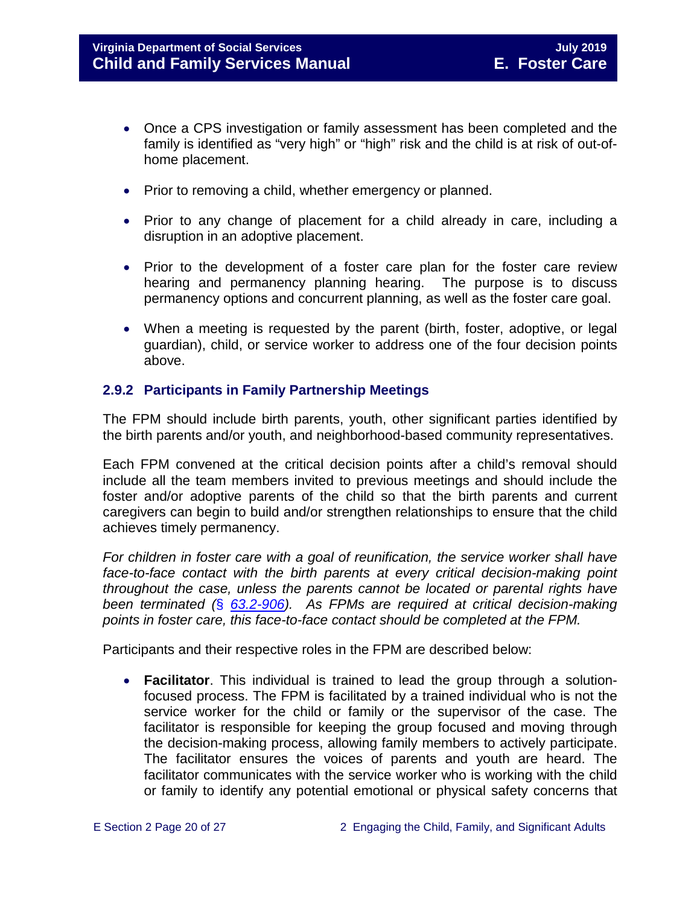- Once a CPS investigation or family assessment has been completed and the family is identified as "very high" or "high" risk and the child is at risk of out-ofhome placement.
- Prior to removing a child, whether emergency or planned.
- Prior to any change of placement for a child already in care, including a disruption in an adoptive placement.
- Prior to the development of a foster care plan for the foster care review hearing and permanency planning hearing. The purpose is to discuss permanency options and concurrent planning, as well as the foster care goal.
- When a meeting is requested by the parent (birth, foster, adoptive, or legal guardian), child, or service worker to address one of the four decision points above.

#### <span id="page-19-0"></span>**2.9.2 Participants in Family Partnership Meetings**

The FPM should include birth parents, youth, other significant parties identified by the birth parents and/or youth, and neighborhood-based community representatives.

Each FPM convened at the critical decision points after a child's removal should include all the team members invited to previous meetings and should include the foster and/or adoptive parents of the child so that the birth parents and current caregivers can begin to build and/or strengthen relationships to ensure that the child achieves timely permanency.

*For children in foster care with a goal of reunification, the service worker shall have*  face-to-face contact with the birth parents at every critical decision-making point *throughout the case, unless the parents cannot be located or parental rights have been terminated (*§ *[63.2-906\)](https://law.lis.virginia.gov/vacode/63.2-906). As FPMs are required at critical decision-making points in foster care, this face-to-face contact should be completed at the FPM.* 

Participants and their respective roles in the FPM are described below:

• **Facilitator**. This individual is trained to lead the group through a solutionfocused process. The FPM is facilitated by a trained individual who is not the service worker for the child or family or the supervisor of the case. The facilitator is responsible for keeping the group focused and moving through the decision-making process, allowing family members to actively participate. The facilitator ensures the voices of parents and youth are heard. The facilitator communicates with the service worker who is working with the child or family to identify any potential emotional or physical safety concerns that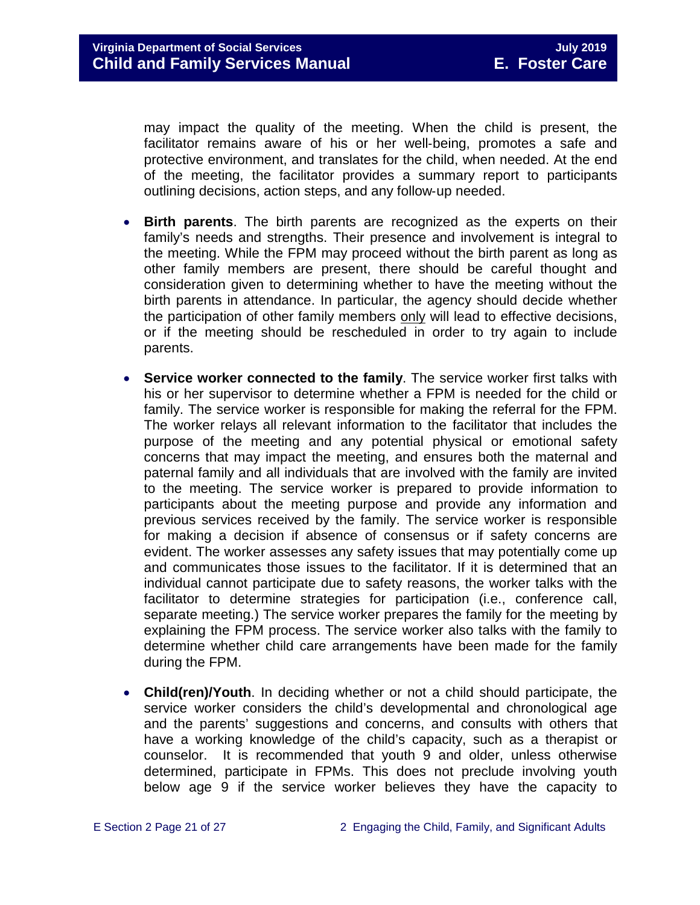may impact the quality of the meeting. When the child is present, the facilitator remains aware of his or her well‐being, promotes a safe and protective environment, and translates for the child, when needed. At the end of the meeting, the facilitator provides a summary report to participants outlining decisions, action steps, and any follow‐up needed.

- **Birth parents**. The birth parents are recognized as the experts on their family's needs and strengths. Their presence and involvement is integral to the meeting. While the FPM may proceed without the birth parent as long as other family members are present, there should be careful thought and consideration given to determining whether to have the meeting without the birth parents in attendance. In particular, the agency should decide whether the participation of other family members only will lead to effective decisions, or if the meeting should be rescheduled in order to try again to include parents.
- **Service worker connected to the family**. The service worker first talks with his or her supervisor to determine whether a FPM is needed for the child or family. The service worker is responsible for making the referral for the FPM. The worker relays all relevant information to the facilitator that includes the purpose of the meeting and any potential physical or emotional safety concerns that may impact the meeting, and ensures both the maternal and paternal family and all individuals that are involved with the family are invited to the meeting. The service worker is prepared to provide information to participants about the meeting purpose and provide any information and previous services received by the family. The service worker is responsible for making a decision if absence of consensus or if safety concerns are evident. The worker assesses any safety issues that may potentially come up and communicates those issues to the facilitator. If it is determined that an individual cannot participate due to safety reasons, the worker talks with the facilitator to determine strategies for participation (i.e., conference call, separate meeting.) The service worker prepares the family for the meeting by explaining the FPM process. The service worker also talks with the family to determine whether child care arrangements have been made for the family during the FPM.
- **Child(ren)/Youth**. In deciding whether or not a child should participate, the service worker considers the child's developmental and chronological age and the parents' suggestions and concerns, and consults with others that have a working knowledge of the child's capacity, such as a therapist or counselor. It is recommended that youth 9 and older, unless otherwise determined, participate in FPMs. This does not preclude involving youth below age 9 if the service worker believes they have the capacity to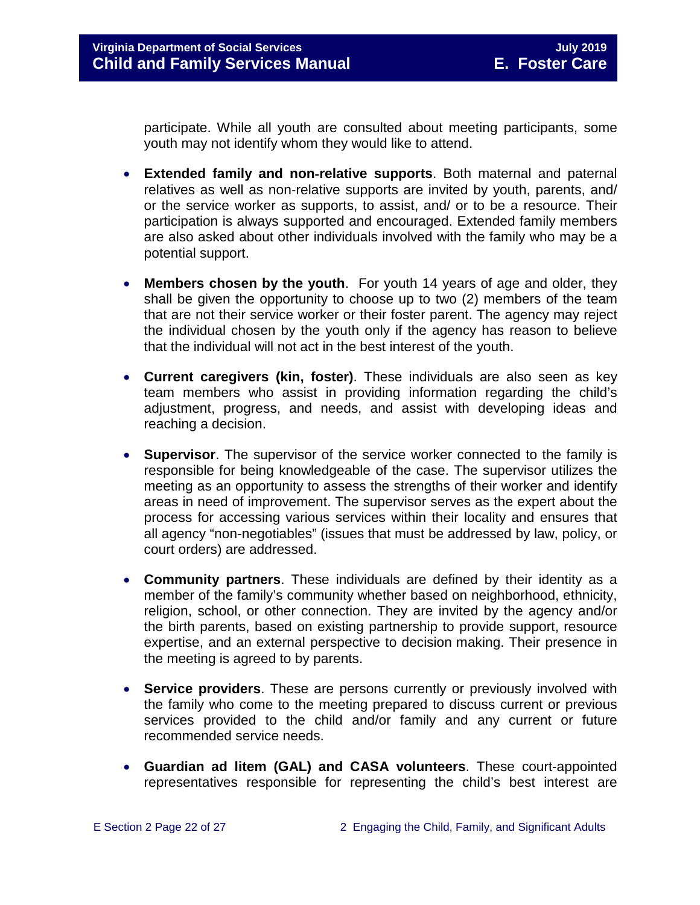participate. While all youth are consulted about meeting participants, some youth may not identify whom they would like to attend.

- **Extended family and non**‐**relative supports**. Both maternal and paternal relatives as well as non-relative supports are invited by youth, parents, and/ or the service worker as supports, to assist, and/ or to be a resource. Their participation is always supported and encouraged. Extended family members are also asked about other individuals involved with the family who may be a potential support.
- **Members chosen by the youth**. For youth 14 years of age and older, they shall be given the opportunity to choose up to two (2) members of the team that are not their service worker or their foster parent. The agency may reject the individual chosen by the youth only if the agency has reason to believe that the individual will not act in the best interest of the youth.
- **Current caregivers (kin, foster)**. These individuals are also seen as key team members who assist in providing information regarding the child's adjustment, progress, and needs, and assist with developing ideas and reaching a decision.
- **Supervisor**. The supervisor of the service worker connected to the family is responsible for being knowledgeable of the case. The supervisor utilizes the meeting as an opportunity to assess the strengths of their worker and identify areas in need of improvement. The supervisor serves as the expert about the process for accessing various services within their locality and ensures that all agency "non-negotiables" (issues that must be addressed by law, policy, or court orders) are addressed.
- **Community partners**. These individuals are defined by their identity as a member of the family's community whether based on neighborhood, ethnicity, religion, school, or other connection. They are invited by the agency and/or the birth parents, based on existing partnership to provide support, resource expertise, and an external perspective to decision making. Their presence in the meeting is agreed to by parents.
- **Service providers**. These are persons currently or previously involved with the family who come to the meeting prepared to discuss current or previous services provided to the child and/or family and any current or future recommended service needs.
- **Guardian ad litem (GAL) and CASA volunteers**. These court‐appointed representatives responsible for representing the child's best interest are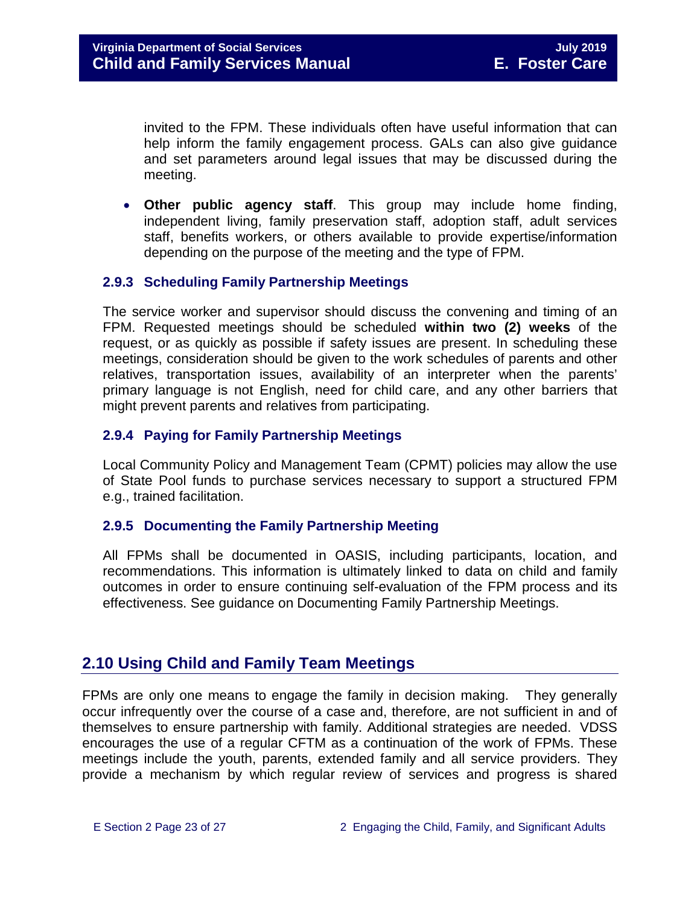invited to the FPM. These individuals often have useful information that can help inform the family engagement process. GALs can also give guidance and set parameters around legal issues that may be discussed during the meeting.

• **Other public agency staff**. This group may include home finding, independent living, family preservation staff, adoption staff, adult services staff, benefits workers, or others available to provide expertise/information depending on the purpose of the meeting and the type of FPM.

#### <span id="page-22-0"></span>**2.9.3 Scheduling Family Partnership Meetings**

The service worker and supervisor should discuss the convening and timing of an FPM. Requested meetings should be scheduled **within two (2) weeks** of the request, or as quickly as possible if safety issues are present. In scheduling these meetings, consideration should be given to the work schedules of parents and other relatives, transportation issues, availability of an interpreter when the parents' primary language is not English, need for child care, and any other barriers that might prevent parents and relatives from participating.

#### <span id="page-22-1"></span>**2.9.4 Paying for Family Partnership Meetings**

Local Community Policy and Management Team (CPMT) policies may allow the use of State Pool funds to purchase services necessary to support a structured FPM e.g., trained facilitation.

#### <span id="page-22-2"></span>**2.9.5 Documenting the Family Partnership Meeting**

All FPMs shall be documented in OASIS, including participants, location, and recommendations. This information is ultimately linked to data on child and family outcomes in order to ensure continuing self-evaluation of the FPM process and its effectiveness. See guidance on Documenting Family Partnership Meetings.

#### <span id="page-22-3"></span>**2.10 Using Child and Family Team Meetings**

FPMs are only one means to engage the family in decision making. They generally occur infrequently over the course of a case and, therefore, are not sufficient in and of themselves to ensure partnership with family. Additional strategies are needed. VDSS encourages the use of a regular CFTM as a continuation of the work of FPMs. These meetings include the youth, parents, extended family and all service providers. They provide a mechanism by which regular review of services and progress is shared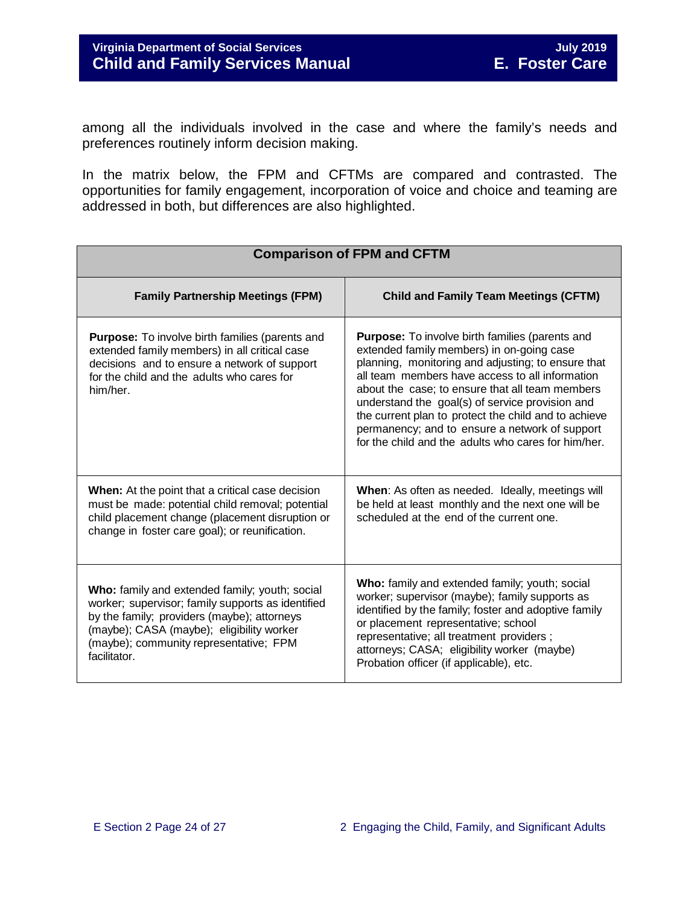among all the individuals involved in the case and where the family's needs and preferences routinely inform decision making.

In the matrix below, the FPM and CFTMs are compared and contrasted. The opportunities for family engagement, incorporation of voice and choice and teaming are addressed in both, but differences are also highlighted.

| <b>Comparison of FPM and CFTM</b>                                                                                                                                                                                                                         |                                                                                                                                                                                                                                                                                                                                                                                                                                                                                     |  |  |  |
|-----------------------------------------------------------------------------------------------------------------------------------------------------------------------------------------------------------------------------------------------------------|-------------------------------------------------------------------------------------------------------------------------------------------------------------------------------------------------------------------------------------------------------------------------------------------------------------------------------------------------------------------------------------------------------------------------------------------------------------------------------------|--|--|--|
| <b>Family Partnership Meetings (FPM)</b>                                                                                                                                                                                                                  | <b>Child and Family Team Meetings (CFTM)</b>                                                                                                                                                                                                                                                                                                                                                                                                                                        |  |  |  |
| <b>Purpose:</b> To involve birth families (parents and<br>extended family members) in all critical case<br>decisions and to ensure a network of support<br>for the child and the adults who cares for<br>him/her.                                         | <b>Purpose:</b> To involve birth families (parents and<br>extended family members) in on-going case<br>planning, monitoring and adjusting; to ensure that<br>all team members have access to all information<br>about the case; to ensure that all team members<br>understand the goal(s) of service provision and<br>the current plan to protect the child and to achieve<br>permanency; and to ensure a network of support<br>for the child and the adults who cares for him/her. |  |  |  |
| <b>When:</b> At the point that a critical case decision<br>must be made: potential child removal; potential<br>child placement change (placement disruption or<br>change in foster care goal); or reunification.                                          | When: As often as needed. Ideally, meetings will<br>be held at least monthly and the next one will be<br>scheduled at the end of the current one.                                                                                                                                                                                                                                                                                                                                   |  |  |  |
| Who: family and extended family; youth; social<br>worker; supervisor; family supports as identified<br>by the family; providers (maybe); attorneys<br>(maybe); CASA (maybe); eligibility worker<br>(maybe); community representative; FPM<br>facilitator. | Who: family and extended family; youth; social<br>worker; supervisor (maybe); family supports as<br>identified by the family; foster and adoptive family<br>or placement representative; school<br>representative; all treatment providers;<br>attorneys; CASA; eligibility worker (maybe)<br>Probation officer (if applicable), etc.                                                                                                                                               |  |  |  |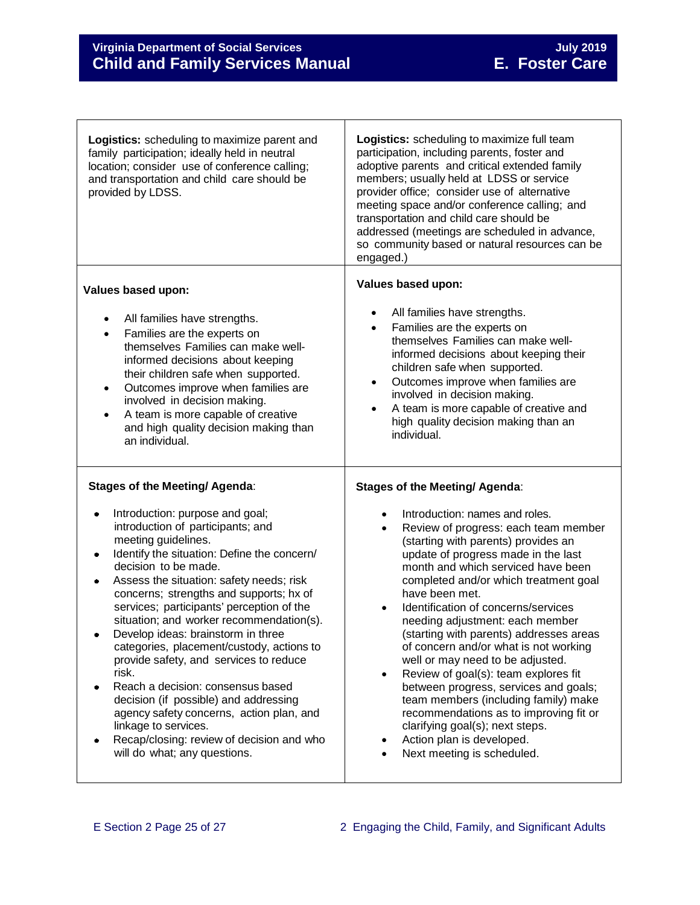$\Gamma$ 

| <b>Logistics:</b> scheduling to maximize parent and<br>family participation; ideally held in neutral<br>location; consider use of conference calling;<br>and transportation and child care should be<br>provided by LDSS.                                                                                                                                                                                                                                                                                                                                                                                                                                                                                                                                                               | Logistics: scheduling to maximize full team<br>participation, including parents, foster and<br>adoptive parents and critical extended family<br>members; usually held at LDSS or service<br>provider office; consider use of alternative<br>meeting space and/or conference calling; and<br>transportation and child care should be<br>addressed (meetings are scheduled in advance,<br>so community based or natural resources can be<br>engaged.)                                                                                                                                                                                                                                                                                                                            |
|-----------------------------------------------------------------------------------------------------------------------------------------------------------------------------------------------------------------------------------------------------------------------------------------------------------------------------------------------------------------------------------------------------------------------------------------------------------------------------------------------------------------------------------------------------------------------------------------------------------------------------------------------------------------------------------------------------------------------------------------------------------------------------------------|--------------------------------------------------------------------------------------------------------------------------------------------------------------------------------------------------------------------------------------------------------------------------------------------------------------------------------------------------------------------------------------------------------------------------------------------------------------------------------------------------------------------------------------------------------------------------------------------------------------------------------------------------------------------------------------------------------------------------------------------------------------------------------|
| Values based upon:<br>All families have strengths.<br>Families are the experts on<br>$\bullet$<br>themselves Families can make well-<br>informed decisions about keeping<br>their children safe when supported.<br>Outcomes improve when families are<br>$\bullet$<br>involved in decision making.<br>A team is more capable of creative<br>$\bullet$<br>and high quality decision making than<br>an individual.                                                                                                                                                                                                                                                                                                                                                                        | Values based upon:<br>All families have strengths.<br>Families are the experts on<br>$\bullet$<br>themselves Families can make well-<br>informed decisions about keeping their<br>children safe when supported.<br>Outcomes improve when families are<br>$\bullet$<br>involved in decision making.<br>A team is more capable of creative and<br>$\bullet$<br>high quality decision making than an<br>individual.                                                                                                                                                                                                                                                                                                                                                               |
| <b>Stages of the Meeting/ Agenda:</b><br>Introduction: purpose and goal;<br>$\bullet$<br>introduction of participants; and<br>meeting guidelines.<br>Identify the situation: Define the concern/<br>۰<br>decision to be made.<br>Assess the situation: safety needs; risk<br>۰<br>concerns; strengths and supports; hx of<br>services; participants' perception of the<br>situation; and worker recommendation(s).<br>Develop ideas: brainstorm in three<br>categories, placement/custody, actions to<br>provide safety, and services to reduce<br>risk.<br>Reach a decision: consensus based<br>decision (if possible) and addressing<br>agency safety concerns, action plan, and<br>linkage to services.<br>Recap/closing: review of decision and who<br>will do what; any questions. | <b>Stages of the Meeting/ Agenda:</b><br>Introduction: names and roles.<br>Review of progress: each team member<br>$\bullet$<br>(starting with parents) provides an<br>update of progress made in the last<br>month and which serviced have been<br>completed and/or which treatment goal<br>have been met.<br>Identification of concerns/services<br>needing adjustment: each member<br>(starting with parents) addresses areas<br>of concern and/or what is not working<br>well or may need to be adjusted.<br>Review of goal(s): team explores fit<br>between progress, services and goals;<br>team members (including family) make<br>recommendations as to improving fit or<br>clarifying goal(s); next steps.<br>Action plan is developed.<br>Next meeting is scheduled. |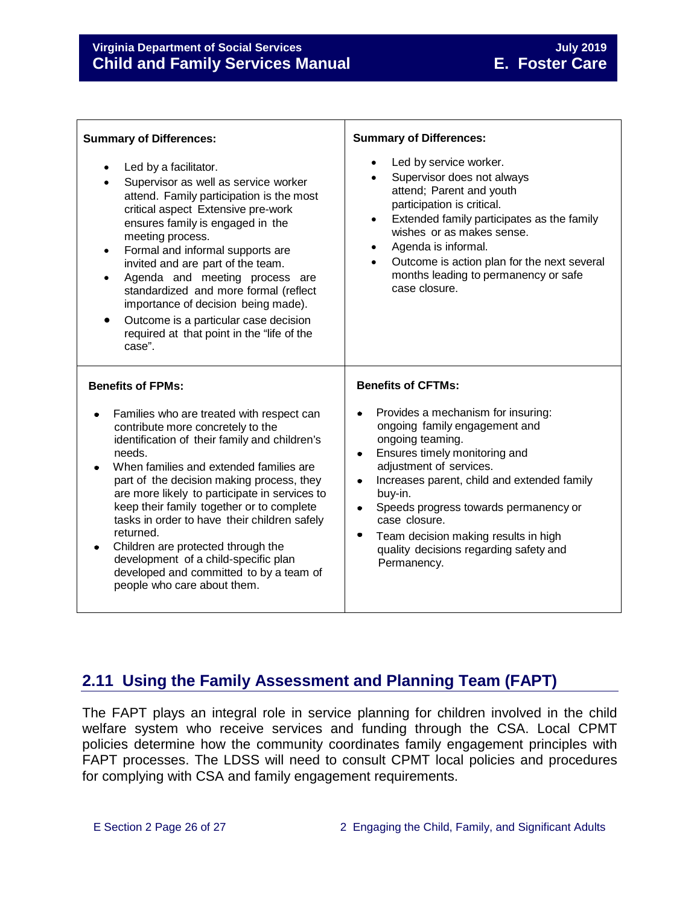| <b>Summary of Differences:</b>                                                                                                                                                                                                                                                                                                                                                                                                                                                                                                                       | <b>Summary of Differences:</b>                                                                                                                                                                                                                                                                                                                                                                                  |  |
|------------------------------------------------------------------------------------------------------------------------------------------------------------------------------------------------------------------------------------------------------------------------------------------------------------------------------------------------------------------------------------------------------------------------------------------------------------------------------------------------------------------------------------------------------|-----------------------------------------------------------------------------------------------------------------------------------------------------------------------------------------------------------------------------------------------------------------------------------------------------------------------------------------------------------------------------------------------------------------|--|
| Led by a facilitator.<br>$\bullet$<br>Supervisor as well as service worker<br>attend. Family participation is the most<br>critical aspect Extensive pre-work<br>ensures family is engaged in the<br>meeting process.<br>Formal and informal supports are<br>$\bullet$<br>invited and are part of the team.<br>Agenda and meeting process are<br>$\bullet$<br>standardized and more formal (reflect<br>importance of decision being made).<br>Outcome is a particular case decision<br>required at that point in the "life of the<br>case".           | Led by service worker.<br>Supervisor does not always<br>attend; Parent and youth<br>participation is critical.<br>Extended family participates as the family<br>$\bullet$<br>wishes or as makes sense.<br>Agenda is informal.<br>$\bullet$<br>Outcome is action plan for the next several<br>$\bullet$<br>months leading to permanency or safe<br>case closure.                                                 |  |
| <b>Benefits of FPMs:</b>                                                                                                                                                                                                                                                                                                                                                                                                                                                                                                                             | <b>Benefits of CFTMs:</b>                                                                                                                                                                                                                                                                                                                                                                                       |  |
| Families who are treated with respect can<br>contribute more concretely to the<br>identification of their family and children's<br>needs.<br>When families and extended families are<br>part of the decision making process, they<br>are more likely to participate in services to<br>keep their family together or to complete<br>tasks in order to have their children safely<br>returned.<br>Children are protected through the<br>development of a child-specific plan<br>developed and committed to by a team of<br>people who care about them. | Provides a mechanism for insuring:<br>ongoing family engagement and<br>ongoing teaming.<br>Ensures timely monitoring and<br>$\bullet$<br>adjustment of services.<br>Increases parent, child and extended family<br>$\bullet$<br>buy-in.<br>Speeds progress towards permanency or<br>$\bullet$<br>case closure.<br>Team decision making results in high<br>quality decisions regarding safety and<br>Permanency. |  |

#### <span id="page-25-0"></span>**2.11 Using the Family Assessment and Planning Team (FAPT)**

The FAPT plays an integral role in service planning for children involved in the child welfare system who receive services and funding through the CSA. Local CPMT policies determine how the community coordinates family engagement principles with FAPT processes. The LDSS will need to consult CPMT local policies and procedures for complying with CSA and family engagement requirements.